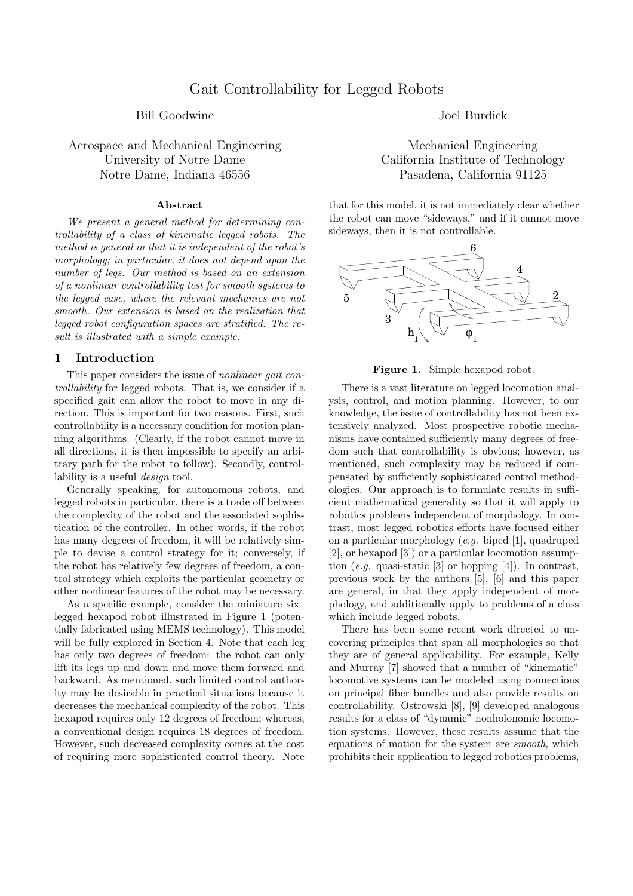## Bill Goodwine Solution and Doel Burdick and Doel Burdick

Aerospace and Mechanical Engineering Mechanical Engineering Notre Dame, Indiana 46556 Pasadena, California 91125

#### Abstract

We present a general method for determining controllability of a class of kinematic legged robots. The method is general in that it is independent of the robot's morphology; in particular, it does not depend upon the number of legs. Our method is based on an extension of a nonlinear controllability test for smooth systems to the legged case, where the relevant mechanics are not smooth. Our extension is based on the realization that legged robot configuration spaces are stratified. The result is illustrated with a simple example.

## 1 Introduction

This paper considers the issue of *nonlinear qait con*trollability for legged robots. That is, we consider if a specified gait can allow the robot to move in any direction. This is important for two reasons. First, such controllability is a necessary condition for motion planning algorithms. (Clearly, if the robot cannot move in all directions, it is then impossible to specify an arbitrary path for the robot to follow). Secondly, controllability is a useful design tool.

Generally speaking, for autonomous robots, and legged robots in particular, there is a trade off between the complexity of the robot and the associated sophistication of the controller. In other words, if the robot has many degrees of freedom, it will be relatively simple to devise a control strategy for it; conversely, if the robot has relatively few degrees of freedom, a control strategy which exploits the particular geometry or other nonlinear features of the robot may be necessary.

As a specific example, consider the miniature six– legged hexapod robot illustrated in Figure 1 (potentially fabricated using MEMS technology). This model will be fully explored in Section 4. Note that each leg has only two degrees of freedom: the robot can only lift its legs up and down and move them forward and backward. As mentioned, such limited control authority may be desirable in practical situations because it decreases the mechanical complexity of the robot. This hexapod requires only 12 degrees of freedom; whereas, a conventional design requires 18 degrees of freedom. However, such decreased complexity comes at the cost of requiring more sophisticated control theory. Note

University of Notre Dame California Institute of Technology

that for this model, it is not immediately clear whether the robot can move "sideways," and if it cannot move sideways, then it is not controllable.



Figure 1. Simple hexapod robot.

There is a vast literature on legged locomotion analysis, control, and motion planning. However, to our knowledge, the issue of controllability has not been extensively analyzed. Most prospective robotic mechanisms have contained sufficiently many degrees of freedom such that controllability is obvious; however, as mentioned, such complexity may be reduced if compensated by sufficiently sophisticated control methodologies. Our approach is to formulate results in sufficient mathematical generality so that it will apply to robotics problems independent of morphology. In contrast, most legged robotics efforts have focused either on a particular morphology (e.g. biped [1], quadruped [2], or hexapod [3]) or a particular locomotion assumption (e.g. quasi-static [3] or hopping [4]). In contrast, previous work by the authors [5], [6] and this paper are general, in that they apply independent of morphology, and additionally apply to problems of a class which include legged robots.

There has been some recent work directed to uncovering principles that span all morphologies so that they are of general applicability. For example, Kelly and Murray [7] showed that a number of "kinematic" locomotive systems can be modeled using connections on principal fiber bundles and also provide results on controllability. Ostrowski [8], [9] developed analogous results for a class of "dynamic" nonholonomic locomotion systems. However, these results assume that the equations of motion for the system are smooth, which prohibits their application to legged robotics problems,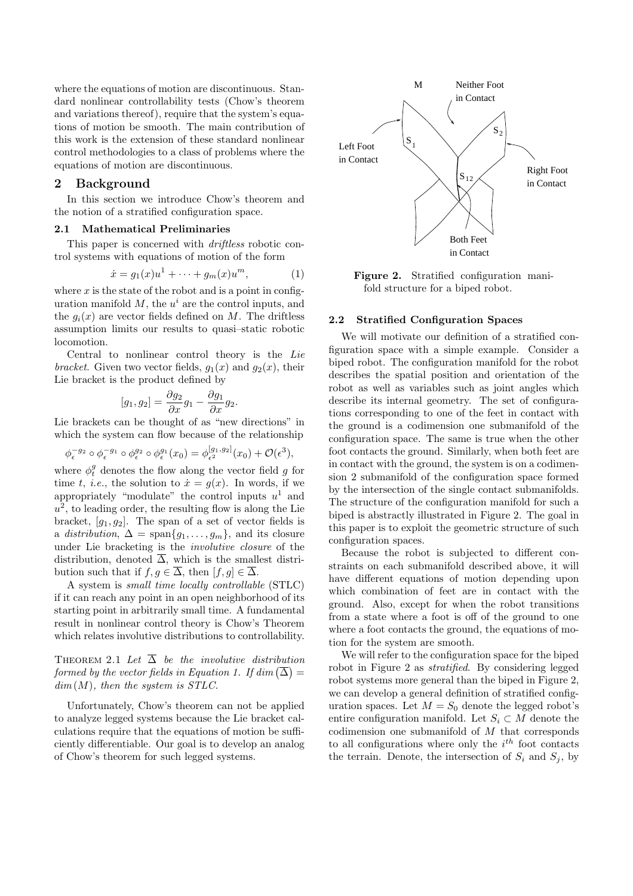where the equations of motion are discontinuous. Standard nonlinear controllability tests (Chow's theorem and variations thereof), require that the system's equations of motion be smooth. The main contribution of this work is the extension of these standard nonlinear control methodologies to a class of problems where the equations of motion are discontinuous.

# 2 Background

In this section we introduce Chow's theorem and the notion of a stratified configuration space.

### 2.1 Mathematical Preliminaries

This paper is concerned with *driftless* robotic control systems with equations of motion of the form

$$
\dot{x} = g_1(x)u^1 + \dots + g_m(x)u^m, \tag{1}
$$

where  $x$  is the state of the robot and is a point in configuration manifold  $M$ , the  $u^i$  are the control inputs, and the  $q_i(x)$  are vector fields defined on M. The driftless assumption limits our results to quasi–static robotic locomotion.

Central to nonlinear control theory is the Lie bracket. Given two vector fields,  $g_1(x)$  and  $g_2(x)$ , their Lie bracket is the product defined by

$$
[g_1, g_2] = \frac{\partial g_2}{\partial x} g_1 - \frac{\partial g_1}{\partial x} g_2.
$$

Lie brackets can be thought of as "new directions" in which the system can flow because of the relationship

$$
\phi_{\epsilon}^{-g_2} \circ \phi_{\epsilon}^{-g_1} \circ \phi_{\epsilon}^{g_2} \circ \phi_{\epsilon}^{g_1}(x_0) = \phi_{\epsilon^2}^{[g_1, g_2]}(x_0) + \mathcal{O}(\epsilon^3),
$$

where  $\phi_t^g$  denotes the flow along the vector field g for time t, *i.e.*, the solution to  $\dot{x} = g(x)$ . In words, if we appropriately "modulate" the control inputs  $u^1$  and  $u^2$ , to leading order, the resulting flow is along the Lie bracket,  $[q_1, q_2]$ . The span of a set of vector fields is a distribution,  $\Delta = \text{span}\{g_1, \ldots, g_m\}$ , and its closure under Lie bracketing is the involutive closure of the distribution, denoted  $\overline{\Delta}$ , which is the smallest distribution such that if  $f, g \in \overline{\Delta}$ , then  $[f, g] \in \overline{\Delta}$ .

A system is small time locally controllable (STLC) if it can reach any point in an open neighborhood of its starting point in arbitrarily small time. A fundamental result in nonlinear control theory is Chow's Theorem which relates involutive distributions to controllability.

THEOREM 2.1 Let  $\overline{\Delta}$  be the involutive distribution formed by the vector fields in Equation 1. If  $dim\left(\overline{\Delta}\right) =$  $dim(M)$ , then the system is STLC.

Unfortunately, Chow's theorem can not be applied to analyze legged systems because the Lie bracket calculations require that the equations of motion be sufficiently differentiable. Our goal is to develop an analog of Chow's theorem for such legged systems.



Figure 2. Stratified configuration manifold structure for a biped robot.

## 2.2 Stratified Configuration Spaces

We will motivate our definition of a stratified configuration space with a simple example. Consider a biped robot. The configuration manifold for the robot describes the spatial position and orientation of the robot as well as variables such as joint angles which describe its internal geometry. The set of configurations corresponding to one of the feet in contact with the ground is a codimension one submanifold of the configuration space. The same is true when the other foot contacts the ground. Similarly, when both feet are in contact with the ground, the system is on a codimension 2 submanifold of the configuration space formed by the intersection of the single contact submanifolds. The structure of the configuration manifold for such a biped is abstractly illustrated in Figure 2. The goal in this paper is to exploit the geometric structure of such configuration spaces.

Because the robot is subjected to different constraints on each submanifold described above, it will have different equations of motion depending upon which combination of feet are in contact with the ground. Also, except for when the robot transitions from a state where a foot is off of the ground to one where a foot contacts the ground, the equations of motion for the system are smooth.

We will refer to the configuration space for the biped robot in Figure 2 as stratified. By considering legged robot systems more general than the biped in Figure 2, we can develop a general definition of stratified configuration spaces. Let  $M = S_0$  denote the legged robot's entire configuration manifold. Let  $S_i \subset M$  denote the codimension one submanifold of M that corresponds to all configurations where only the  $i^{th}$  foot contacts the terrain. Denote, the intersection of  $S_i$  and  $S_j$ , by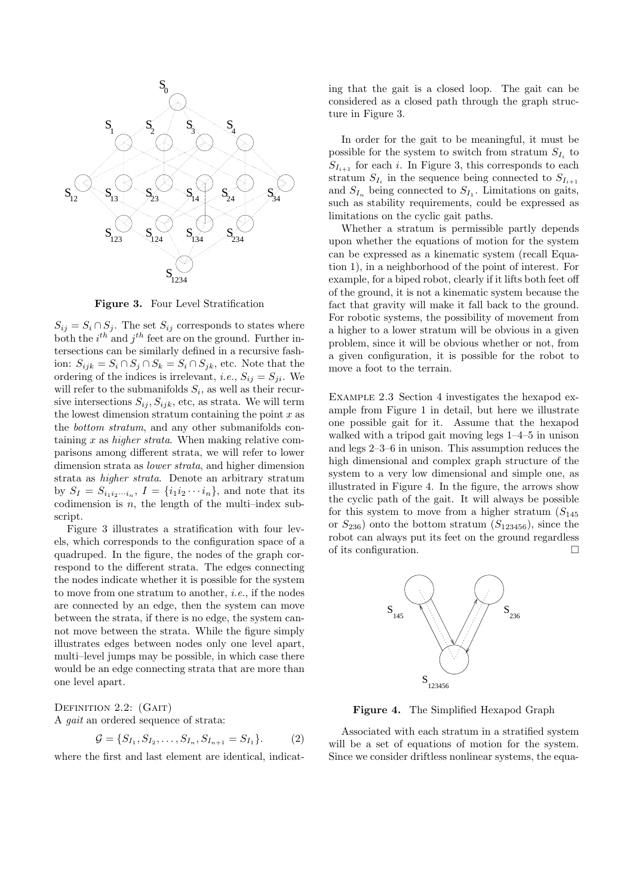

Figure 3. Four Level Stratification

 $S_{ij} = S_i \cap S_j$ . The set  $S_{ij}$  corresponds to states where both the  $i^{th}$  and  $j^{th}$  feet are on the ground. Further intersections can be similarly defined in a recursive fashion:  $S_{ijk} = S_i \cap S_j \cap S_k = S_i \cap S_{jk}$ , etc. Note that the ordering of the indices is irrelevant, *i.e.*,  $S_{ij} = S_{ji}$ . We will refer to the submanifolds  $S_i$ , as well as their recursive intersections  $S_{ij}, S_{ijk}$ , etc, as strata. We will term the lowest dimension stratum containing the point  $x$  as the bottom stratum, and any other submanifolds containing  $x$  as *higher strata*. When making relative comparisons among different strata, we will refer to lower dimension strata as lower strata, and higher dimension strata as higher strata. Denote an arbitrary stratum by  $S_I = S_{i_1 i_2 \cdots i_n}$ ,  $I = \{i_1 i_2 \cdots i_n\}$ , and note that its codimension is  $n$ , the length of the multi-index subscript.

Figure 3 illustrates a stratification with four levels, which corresponds to the configuration space of a quadruped. In the figure, the nodes of the graph correspond to the different strata. The edges connecting the nodes indicate whether it is possible for the system to move from one stratum to another, i.e., if the nodes are connected by an edge, then the system can move between the strata, if there is no edge, the system cannot move between the strata. While the figure simply illustrates edges between nodes only one level apart, multi–level jumps may be possible, in which case there would be an edge connecting strata that are more than one level apart.

DEFINITION 2.2: (GAIT) A gait an ordered sequence of strata:

$$
\mathcal{G} = \{S_{I_1}, S_{I_2}, \dots, S_{I_n}, S_{I_{n+1}} = S_{I_1}\}.
$$
 (2)

where the first and last element are identical, indicat-

ing that the gait is a closed loop. The gait can be considered as a closed path through the graph structure in Figure 3.

In order for the gait to be meaningful, it must be possible for the system to switch from stratum  $S_{I_i}$  to  $S_{I_{i+1}}$  for each i. In Figure 3, this corresponds to each stratum  $S_{I_i}$  in the sequence being connected to  $S_{I_{i+1}}$ and  $S_{I_n}$  being connected to  $S_{I_1}$ . Limitations on gaits, such as stability requirements, could be expressed as limitations on the cyclic gait paths.

Whether a stratum is permissible partly depends upon whether the equations of motion for the system can be expressed as a kinematic system (recall Equation 1), in a neighborhood of the point of interest. For example, for a biped robot, clearly if it lifts both feet off of the ground, it is not a kinematic system because the fact that gravity will make it fall back to the ground. For robotic systems, the possibility of movement from a higher to a lower stratum will be obvious in a given problem, since it will be obvious whether or not, from a given configuration, it is possible for the robot to move a foot to the terrain.

Example 2.3 Section 4 investigates the hexapod example from Figure 1 in detail, but here we illustrate one possible gait for it. Assume that the hexapod walked with a tripod gait moving legs 1–4–5 in unison and legs 2–3–6 in unison. This assumption reduces the high dimensional and complex graph structure of the system to a very low dimensional and simple one, as illustrated in Figure 4. In the figure, the arrows show the cyclic path of the gait. It will always be possible for this system to move from a higher stratum  $(S<sub>145</sub>)$ or  $S_{236}$ ) onto the bottom stratum  $(S_{123456})$ , since the robot can always put its feet on the ground regardless of its configuration.  $\hfill \Box$ 



Figure 4. The Simplified Hexapod Graph

Associated with each stratum in a stratified system will be a set of equations of motion for the system. Since we consider driftless nonlinear systems, the equa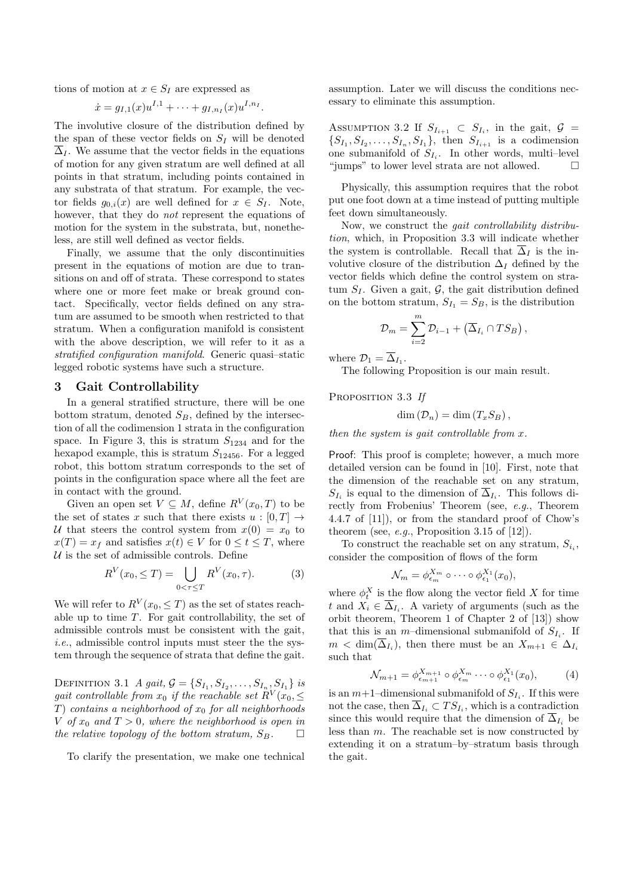tions of motion at  $x \in S_I$  are expressed as

$$
\dot{x} = g_{I,1}(x)u^{I,1} + \cdots + g_{I,n_I}(x)u^{I,n_I}.
$$

The involutive closure of the distribution defined by the span of these vector fields on  $S_I$  will be denoted  $\Delta_I$ . We assume that the vector fields in the equations of motion for any given stratum are well defined at all points in that stratum, including points contained in any substrata of that stratum. For example, the vector fields  $g_{0,i}(x)$  are well defined for  $x \in S_I$ . Note, however, that they do *not* represent the equations of motion for the system in the substrata, but, nonetheless, are still well defined as vector fields.

Finally, we assume that the only discontinuities present in the equations of motion are due to transitions on and off of strata. These correspond to states where one or more feet make or break ground contact. Specifically, vector fields defined on any stratum are assumed to be smooth when restricted to that stratum. When a configuration manifold is consistent with the above description, we will refer to it as a stratified configuration manifold. Generic quasi–static legged robotic systems have such a structure.

#### 3 Gait Controllability

In a general stratified structure, there will be one bottom stratum, denoted  $S_B$ , defined by the intersection of all the codimension 1 strata in the configuration space. In Figure 3, this is stratum  $S_{1234}$  and for the hexapod example, this is stratum  $S_{12456}$ . For a legged robot, this bottom stratum corresponds to the set of points in the configuration space where all the feet are in contact with the ground.

Given an open set  $V \subseteq M$ , define  $R^V(x_0, T)$  to be the set of states x such that there exists  $u : [0, T] \rightarrow$ U that steers the control system from  $x(0) = x_0$  to  $x(T) = x_f$  and satisfies  $x(t) \in V$  for  $0 \le t \le T$ , where  $U$  is the set of admissible controls. Define

$$
R^{V}(x_0, \leq T) = \bigcup_{0 < \tau \leq T} R^{V}(x_0, \tau). \tag{3}
$$

We will refer to  $R^V(x_0, \leq T)$  as the set of states reachable up to time  $T$ . For gait controllability, the set of admissible controls must be consistent with the gait, i.e., admissible control inputs must steer the the system through the sequence of strata that define the gait.

DEFINITION 3.1 *A gait*,  $G = \{S_{I_1}, S_{I_2}, \ldots, S_{I_n}, S_{I_1}\}$  is gait controllable from  $x_0$  if the reachable set  $R^V(x_0, \leq$ T) contains a neighborhood of  $x_0$  for all neighborhoods V of  $x_0$  and  $T > 0$ , where the neighborhood is open in the relative topology of the bottom stratum,  $S_B$ .

To clarify the presentation, we make one technical

assumption. Later we will discuss the conditions necessary to eliminate this assumption.

ASSUMPTION 3.2 If  $S_{I_{i+1}} \subset S_{I_i}$ , in the gait,  $\mathcal{G} =$  $\{S_{I_1}, S_{I_2}, \ldots, S_{I_n}, S_{I_1}\},$  then  $S_{I_{i+1}}$  is a codimension one submanifold of  $S_{I_i}$ . In other words, multi-level "jumps" to lower level strata are not allowed.  $\Box$ 

Physically, this assumption requires that the robot put one foot down at a time instead of putting multiple feet down simultaneously.

Now, we construct the gait controllability distribution, which, in Proposition 3.3 will indicate whether the system is controllable. Recall that  $\overline{\Delta}_I$  is the involutive closure of the distribution  $\Delta_I$  defined by the vector fields which define the control system on stratum  $S_I$ . Given a gait,  $G$ , the gait distribution defined on the bottom stratum,  $S_{I_1} = S_B$ , is the distribution

$$
\mathcal{D}_m = \sum_{i=2}^m \mathcal{D}_{i-1} + (\overline{\Delta}_{I_i} \cap TS_B),
$$

where  $\mathcal{D}_1 = \Delta_{I_1}$ .

The following Proposition is our main result.

PROPOSITION 3.3 If

$$
\dim(\mathcal{D}_n) = \dim(T_x S_B),
$$

then the system is gait controllable from  $x$ .

Proof: This proof is complete; however, a much more detailed version can be found in [10]. First, note that the dimension of the reachable set on any stratum,  $S_{I_i}$  is equal to the dimension of  $\Delta_{I_i}$ . This follows directly from Frobenius' Theorem (see, e.g., Theorem 4.4.7 of [11]), or from the standard proof of Chow's theorem (see, e.g., Proposition 3.15 of  $[12]$ ).

To construct the reachable set on any stratum,  $S_{i_i}$ , consider the composition of flows of the form

$$
\mathcal{N}_m = \phi_{\epsilon_m}^{X_m} \circ \cdots \circ \phi_{\epsilon_1}^{X_1}(x_0),
$$

where  $\phi_t^X$  is the flow along the vector field X for time t and  $X_i \in \overline{\Delta}_{I_i}$ . A variety of arguments (such as the orbit theorem, Theorem 1 of Chapter 2 of [13]) show that this is an *m*-dimensional submanifold of  $S_{I_i}$ . If  $m < \dim(\Delta_{I_i})$ , then there must be an  $X_{m+1} \in \Delta_{I_i}$ such that

$$
\mathcal{N}_{m+1} = \phi_{\epsilon_{m+1}}^{X_{m+1}} \circ \phi_{\epsilon_m}^{X_m} \cdots \circ \phi_{\epsilon_1}^{X_1}(x_0), \tag{4}
$$

is an  $m+1$ -dimensional submanifold of  $S_{I_i}$ . If this were not the case, then  $\Delta_{I_i} \subset TS_{I_i}$ , which is a contradiction since this would require that the dimension of  $\overline{\Delta}_{I_i}$  be less than m. The reachable set is now constructed by extending it on a stratum–by–stratum basis through the gait.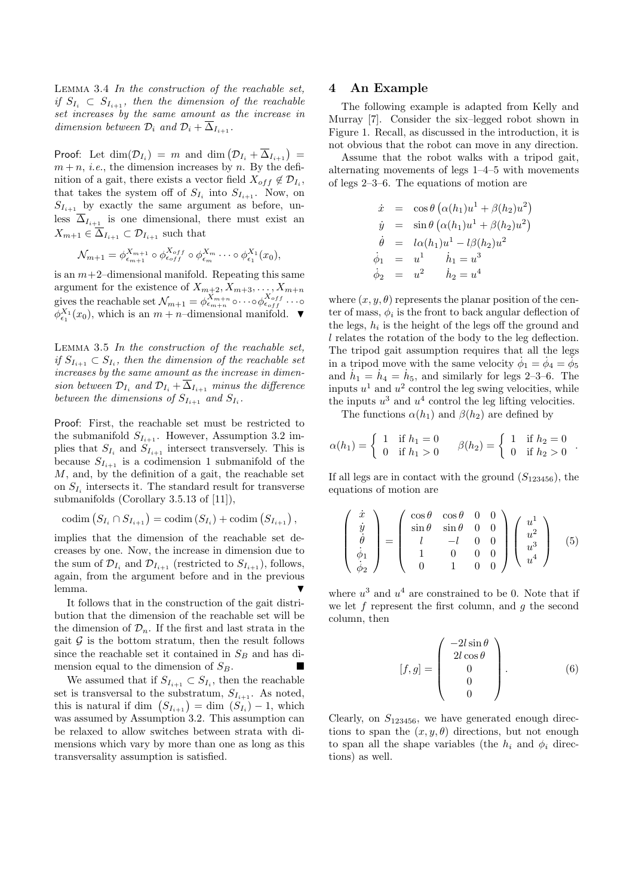Lemma 3.4 In the construction of the reachable set, if  $S_{I_i} \subset S_{I_{i+1}}$ , then the dimension of the reachable set increases by the same amount as the increase in dimension between  $\mathcal{D}_i$  and  $\mathcal{D}_i + \overline{\Delta}_{I_{i+1}}$ .

Proof: Let  $\dim(\mathcal{D}_{I_i}) = m$  and  $\dim(\mathcal{D}_{I_i} + \overline{\Delta}_{I_{i+1}}) =$  $m + n$ , *i.e.*, the dimension increases by n. By the definition of a gait, there exists a vector field  $X_{off} \notin \mathcal{D}_{I_i}$ , that takes the system off of  $S_{I_i}$  into  $S_{I_{i+1}}$ . Now, on  $S_{I_{i+1}}$  by exactly the same argument as before, unless  $\overline{\Delta}_{I_{i+1}}$  is one dimensional, there must exist an  $X_{m+1} \in \Delta_{I_{i+1}} \subset \mathcal{D}_{I_{i+1}}$  such that

$$
\mathcal{N}_{m+1} = \phi_{\epsilon_{m+1}}^{X_{m+1}} \circ \phi_{\epsilon_{off}}^{X_{off}} \circ \phi_{\epsilon_m}^{X_m} \cdots \circ \phi_{\epsilon_1}^{X_1}(x_0),
$$

is an  $m+2$ -dimensional manifold. Repeating this same argument for the existence of  $X_{m+2}, X_{m+3}, \ldots, X_{m+n}$ gives the reachable set  $\mathcal{N}_{m+1} = \phi_{\epsilon_{m+n}}^{X_{m+n}} \circ \cdots \circ \phi_{\epsilon_{off}}^{X_{off}} \cdots \circ$  $\phi_{\epsilon_1}^{X_1}(x_0)$ , which is an  $m+n$ -dimensional manifold.  $\blacktriangledown$ 

Lemma 3.5 In the construction of the reachable set, if  $S_{I_{i+1}} \subset S_{I_i}$ , then the dimension of the reachable set increases by the same amount as the increase in dimension between  $\mathcal{D}_{I_i}$  and  $\mathcal{D}_{I_i} + \overline{\Delta}_{I_{i+1}}$  minus the difference between the dimensions of  $S_{I_{i+1}}$  and  $S_{I_i}$ .

Proof: First, the reachable set must be restricted to the submanifold  $S_{I_{i+1}}$ . However, Assumption 3.2 implies that  $S_{I_i}$  and  $S_{I_{i+1}}$  intersect transversely. This is because  $S_{I_{i+1}}$  is a codimension 1 submanifold of the  $M$ , and, by the definition of a gait, the reachable set on  $S_{I_i}$  intersects it. The standard result for transverse submanifolds (Corollary 3.5.13 of [11]),

$$
\mathrm{codim}\left(S_{I_i} \cap S_{I_{i+1}}\right) = \mathrm{codim}\left(S_{I_i}\right) + \mathrm{codim}\left(S_{I_{i+1}}\right),
$$

implies that the dimension of the reachable set decreases by one. Now, the increase in dimension due to the sum of  $\mathcal{D}_{I_i}$  and  $\mathcal{D}_{I_{i+1}}$  (restricted to  $S_{I_{i+1}}$ ), follows, again, from the argument before and in the previous lemma.  $\blacksquare$ 

It follows that in the construction of the gait distribution that the dimension of the reachable set will be the dimension of  $\mathcal{D}_n$ . If the first and last strata in the gait  $\mathcal G$  is the bottom stratum, then the result follows since the reachable set it contained in  $S_B$  and has dimension equal to the dimension of  $S_B$ .

We assumed that if  $S_{I_{i+1}} \subset S_{I_i}$ , then the reachable set is transversal to the substratum,  $S_{I_{i+1}}$ . As noted, this is natural if dim  $(S_{I_{i+1}}) = \dim (S_{I_i}) - 1$ , which was assumed by Assumption 3.2. This assumption can be relaxed to allow switches between strata with dimensions which vary by more than one as long as this transversality assumption is satisfied.

### 4 An Example

The following example is adapted from Kelly and Murray [7]. Consider the six–legged robot shown in Figure 1. Recall, as discussed in the introduction, it is not obvious that the robot can move in any direction.

Assume that the robot walks with a tripod gait, alternating movements of legs 1–4–5 with movements of legs 2–3–6. The equations of motion are

$$
\dot{x} = \cos \theta \left( \alpha(h_1)u^1 + \beta(h_2)u^2 \right)
$$
  
\n
$$
\dot{y} = \sin \theta \left( \alpha(h_1)u^1 + \beta(h_2)u^2 \right)
$$
  
\n
$$
\dot{\theta} = l\alpha(h_1)u^1 - l\beta(h_2)u^2
$$
  
\n
$$
\dot{\phi}_1 = u^1 \qquad \dot{h}_1 = u^3
$$
  
\n
$$
\dot{\phi}_2 = u^2 \qquad \dot{h}_2 = u^4
$$

where  $(x, y, \theta)$  represents the planar position of the center of mass,  $\phi_i$  is the front to back angular deflection of the legs,  $h_i$  is the height of the legs off the ground and l relates the rotation of the body to the leg deflection. The tripod gait assumption requires that all the legs in a tripod move with the same velocity  $\dot{\phi}_1 = \dot{\phi}_4 = \dot{\phi}_5$ and  $\dot{h}_1 = \dot{h}_4 = \dot{h}_5$ , and similarly for legs 2-3-6. The inputs  $u^1$  and  $u^2$  control the leg swing velocities, while the inputs  $u^3$  and  $u^4$  control the leg lifting velocities.

The functions  $\alpha(h_1)$  and  $\beta(h_2)$  are defined by

$$
\alpha(h_1) = \begin{cases} 1 & \text{if } h_1 = 0 \\ 0 & \text{if } h_1 > 0 \end{cases} \qquad \beta(h_2) = \begin{cases} 1 & \text{if } h_2 = 0 \\ 0 & \text{if } h_2 > 0 \end{cases}.
$$

If all legs are in contact with the ground  $(S_{123456})$ , the equations of motion are

$$
\begin{pmatrix}\n\dot{x} \\
\dot{y} \\
\dot{\theta} \\
\dot{\phi}_1 \\
\dot{\phi}_2\n\end{pmatrix} = \begin{pmatrix}\n\cos\theta & \cos\theta & 0 & 0 \\
\sin\theta & \sin\theta & 0 & 0 \\
l & -l & 0 & 0 \\
1 & 0 & 0 & 0 \\
0 & 1 & 0 & 0\n\end{pmatrix} \begin{pmatrix}\nu^1 \\
u^2 \\
u^3 \\
u^4\n\end{pmatrix}
$$
\n(5)

where  $u^3$  and  $u^4$  are constrained to be 0. Note that if we let f represent the first column, and  $q$  the second column, then

$$
[f,g] = \begin{pmatrix} -2l\sin\theta \\ 2l\cos\theta \\ 0 \\ 0 \\ 0 \end{pmatrix}.
$$
 (6)

Clearly, on  $S_{123456}$ , we have generated enough directions to span the  $(x, y, \theta)$  directions, but not enough to span all the shape variables (the  $h_i$  and  $\phi_i$  directions) as well.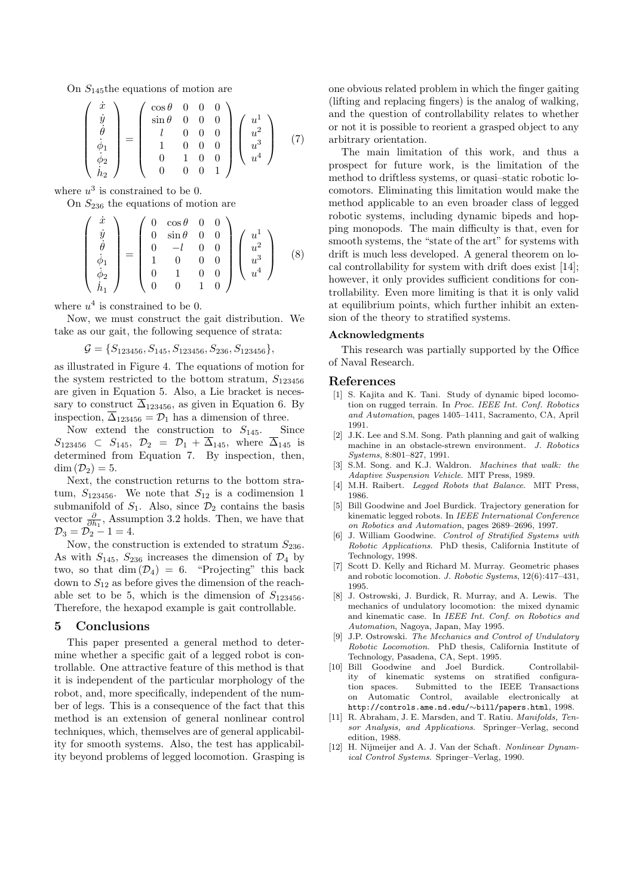On  $S_{145}$ the equations of motion are

$$
\begin{pmatrix}\n\dot{x} \\
\dot{y} \\
\dot{\theta} \\
\dot{\phi}_1 \\
\dot{\phi}_2 \\
\dot{h}_2\n\end{pmatrix} = \begin{pmatrix}\n\cos\theta & 0 & 0 & 0 \\
\sin\theta & 0 & 0 & 0 \\
l & 0 & 0 & 0 \\
1 & 0 & 0 & 0 \\
0 & 1 & 0 & 0 \\
0 & 0 & 0 & 1\n\end{pmatrix} \begin{pmatrix}\nu^1 \\
u^2 \\
u^3 \\
u^4\n\end{pmatrix}
$$
\n(7)

where  $u^3$  is constrained to be 0.

On  $S_{236}$  the equations of motion are

$$
\begin{pmatrix}\n\dot{x} \\
\dot{y} \\
\dot{\theta} \\
\dot{\phi}_1 \\
\dot{\phi}_2 \\
\dot{h}_1\n\end{pmatrix} = \begin{pmatrix}\n0 & \cos\theta & 0 & 0 \\
0 & \sin\theta & 0 & 0 \\
0 & -l & 0 & 0 \\
1 & 0 & 0 & 0 \\
0 & 1 & 0 & 0 \\
0 & 0 & 1 & 0\n\end{pmatrix} \begin{pmatrix}\nu^1 \\
u^2 \\
u^3 \\
u^4\n\end{pmatrix}
$$
\n(8)

where  $u^4$  is constrained to be 0.

Now, we must construct the gait distribution. We take as our gait, the following sequence of strata:

$$
\mathcal{G} = \{S_{123456}, S_{145}, S_{123456}, S_{236}, S_{123456}\},\
$$

as illustrated in Figure 4. The equations of motion for the system restricted to the bottom stratum,  $S_{123456}$ are given in Equation 5. Also, a Lie bracket is necessary to construct  $\overline{\Delta}_{123456}$ , as given in Equation 6. By inspection,  $\overline{\Delta}_{123456} = \mathcal{D}_1$  has a dimension of three.

Now extend the construction to  $S_{145}$ . Since  $S_{123456} \subset S_{145}$ ,  $\mathcal{D}_2 = \mathcal{D}_1 + \overline{\Delta}_{145}$ , where  $\overline{\Delta}_{145}$  is determined from Equation 7. By inspection, then,  $\dim (\mathcal{D}_2) = 5.$ 

Next, the construction returns to the bottom stratum,  $S_{123456}$ . We note that  $S_{12}$  is a codimension 1 submanifold of  $S_1$ . Also, since  $\mathcal{D}_2$  contains the basis vector  $\frac{\partial}{\partial h_1}$ , Assumption 3.2 holds. Then, we have that  $\mathcal{D}_3 = \mathcal{D}_2 - 1 = 4.$ 

Now, the construction is extended to stratum  $S_{236}$ . As with  $S_{145}$ ,  $S_{236}$  increases the dimension of  $\mathcal{D}_4$  by two, so that dim  $(\mathcal{D}_4) = 6$ . "Projecting" this back down to  $S_{12}$  as before gives the dimension of the reachable set to be 5, which is the dimension of  $S_{123456}$ . Therefore, the hexapod example is gait controllable.

# 5 Conclusions

This paper presented a general method to determine whether a specific gait of a legged robot is controllable. One attractive feature of this method is that it is independent of the particular morphology of the robot, and, more specifically, independent of the number of legs. This is a consequence of the fact that this method is an extension of general nonlinear control techniques, which, themselves are of general applicability for smooth systems. Also, the test has applicability beyond problems of legged locomotion. Grasping is one obvious related problem in which the finger gaiting (lifting and replacing fingers) is the analog of walking, and the question of controllability relates to whether or not it is possible to reorient a grasped object to any arbitrary orientation.

The main limitation of this work, and thus a prospect for future work, is the limitation of the method to driftless systems, or quasi–static robotic locomotors. Eliminating this limitation would make the method applicable to an even broader class of legged robotic systems, including dynamic bipeds and hopping monopods. The main difficulty is that, even for smooth systems, the "state of the art" for systems with drift is much less developed. A general theorem on local controllability for system with drift does exist [14]; however, it only provides sufficient conditions for controllability. Even more limiting is that it is only valid at equilibrium points, which further inhibit an extension of the theory to stratified systems.

### Acknowledgments

This research was partially supported by the Office of Naval Research.

#### References

- [1] S. Kajita and K. Tani. Study of dynamic biped locomotion on rugged terrain. In *Proc. IEEE Int. Conf. Robotics and Automation*, pages 1405–1411, Sacramento, CA, April 1991.
- [2] J.K. Lee and S.M. Song. Path planning and gait of walking machine in an obstacle-strewn environment. *J. Robotics Systems*, 8:801–827, 1991.
- [3] S.M. Song. and K.J. Waldron. *Machines that walk: the Adaptive Suspension Vehicle*. MIT Press, 1989.
- [4] M.H. Raibert. *Legged Robots that Balance*. MIT Press, 1986.
- [5] Bill Goodwine and Joel Burdick. Trajectory generation for kinematic legged robots. In *IEEE International Conference on Robotics and Automation*, pages 2689–2696, 1997.
- [6] J. William Goodwine. *Control of Stratified Systems with Robotic Applications*. PhD thesis, California Institute of Technology, 1998.
- [7] Scott D. Kelly and Richard M. Murray. Geometric phases and robotic locomotion. *J. Robotic Systems*, 12(6):417–431, 1995.
- [8] J. Ostrowski, J. Burdick, R. Murray, and A. Lewis. The mechanics of undulatory locomotion: the mixed dynamic and kinematic case. In *IEEE Int. Conf. on Robotics and Automation*, Nagoya, Japan, May 1995.
- [9] J.P. Ostrowski. *The Mechanics and Control of Undulatory Robotic Locomotion*. PhD thesis, California Institute of Technology, Pasadena, CA, Sept. 1995.
- [10] Bill Goodwine and Joel Burdick. Controllability of kinematic systems on stratified configuration spaces. Submitted to the IEEE Transactions on Automatic Control, available electronically at http://controls.ame.nd.edu/∼bill/papers.html, 1998.
- [11] R. Abraham, J. E. Marsden, and T. Ratiu. *Manifolds, Tensor Analysis, and Applications*. Springer–Verlag, second edition, 1988.
- [12] H. Nijmeijer and A. J. Van der Schaft. *Nonlinear Dynamical Control Systems*. Springer–Verlag, 1990.